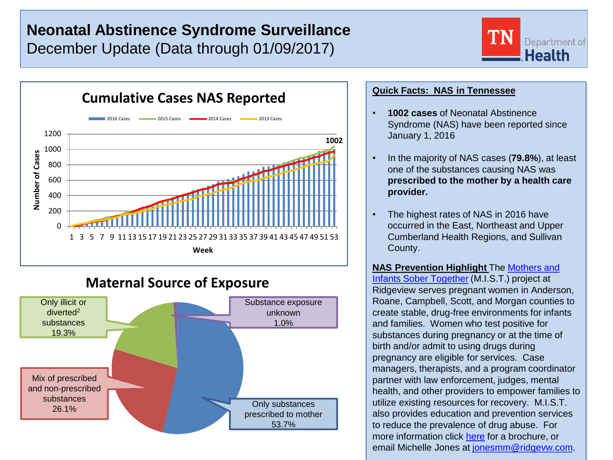# **Neonatal Abstinence Syndrome Surveillance** December Update (Data through 01/09/2017)





## **Maternal Source of Exposure**



### **Quick Facts: NAS in Tennessee**

- **1002 cases** of Neonatal Abstinence Syndrome (NAS) have been reported since January 1, 2016
- In the majority of NAS cases (**79.8%**), at least one of the substances causing NAS was **prescribed to the mother by a health care provider.**
- The highest rates of NAS in 2016 have occurred in the East, Northeast and Upper Cumberland Health Regions, and Sullivan County.

**NAS Prevention Highlight** The [Mothers and](http://www.ridgeview.com/services/adult-mental-health-services/mothers-infants-sober-together)  [Infants Sober Together](http://www.ridgeview.com/services/adult-mental-health-services/mothers-infants-sober-together) (M.I.S.T.) project at Ridgeview serves pregnant women in Anderson, Roane, Campbell, Scott, and Morgan counties to create stable, drug-free environments for infants and families. Women who test positive for substances during pregnancy or at the time of birth and/or admit to using drugs during pregnancy are eligible for services. Case managers, therapists, and a program coordinator partner with law enforcement, judges, mental health, and other providers to empower families to utilize existing resources for recovery. M.I.S.T. also provides education and prevention services to reduce the prevalence of drug abuse. For more information click [here](http://www.ridgeview.com/uploads/Adult_Services/MIST/Jellico_MIST_Brochure_without_BCBS_logo_-print_ready.pdf) for a brochure, or email Michelle Jones at [jonesmm@ridgevw.com.](mailto:jonesmm@ridgevw.com)